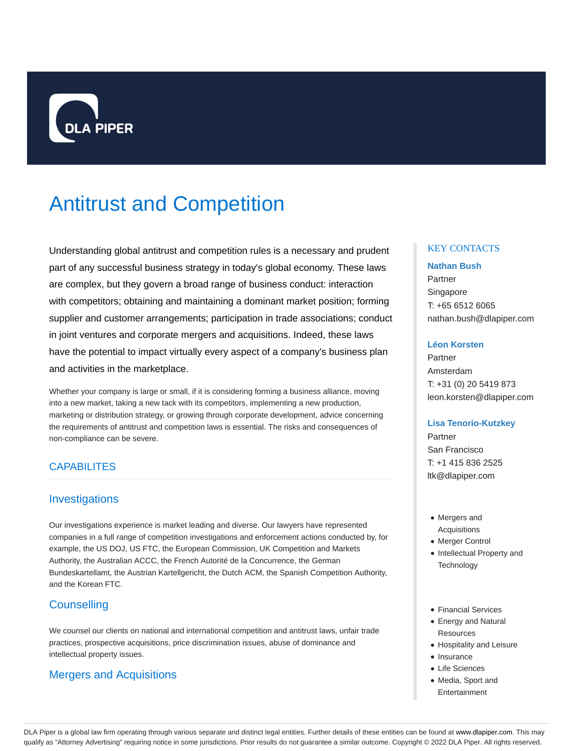

# Antitrust and Competition

Understanding global antitrust and competition rules is a necessary and prudent part of any successful business strategy in today's global economy. These laws are complex, but they govern a broad range of business conduct: interaction with competitors; obtaining and maintaining a dominant market position; forming supplier and customer arrangements; participation in trade associations; conduct in joint ventures and corporate mergers and acquisitions. Indeed, these laws have the potential to impact virtually every aspect of a company's business plan and activities in the marketplace.

Whether your company is large or small, if it is considering forming a business alliance, moving into a new market, taking a new tack with its competitors, implementing a new production, marketing or distribution strategy, or growing through corporate development, advice concerning the requirements of antitrust and competition laws is essential. The risks and consequences of non-compliance can be severe.

# **CAPABILITES**

# Investigations

Our investigations experience is market leading and diverse. Our lawyers have represented companies in a full range of competition investigations and enforcement actions conducted by, for example, the US DOJ, US FTC, the European Commission, UK Competition and Markets Authority, the Australian ACCC, the French Autorité de la Concurrence, the German Bundeskartellamt, the Austrian Kartellgericht, the Dutch ACM, the Spanish Competition Authority, and the Korean FTC.

# **Counselling**

We counsel our clients on national and international competition and antitrust laws, unfair trade practices, prospective acquisitions, price discrimination issues, abuse of dominance and intellectual property issues.

# Mergers and Acquisitions

# KEY CONTACTS

#### **Nathan Bush**

Partner Singapore T: +65 6512 6065 nathan.bush@dlapiper.com

#### **Léon Korsten**

Partner Amsterdam T: +31 (0) 20 5419 873 leon.korsten@dlapiper.com

## **Lisa Tenorio-Kutzkey**

Partner San Francisco T: +1 415 836 2525 ltk@dlapiper.com

- Mergers and Acquisitions
- Merger Control
- Intellectual Property and **Technology**
- Financial Services
- Energy and Natural **Resources**
- Hospitality and Leisure
- Insurance
- Life Sciences
- Media, Sport and Entertainment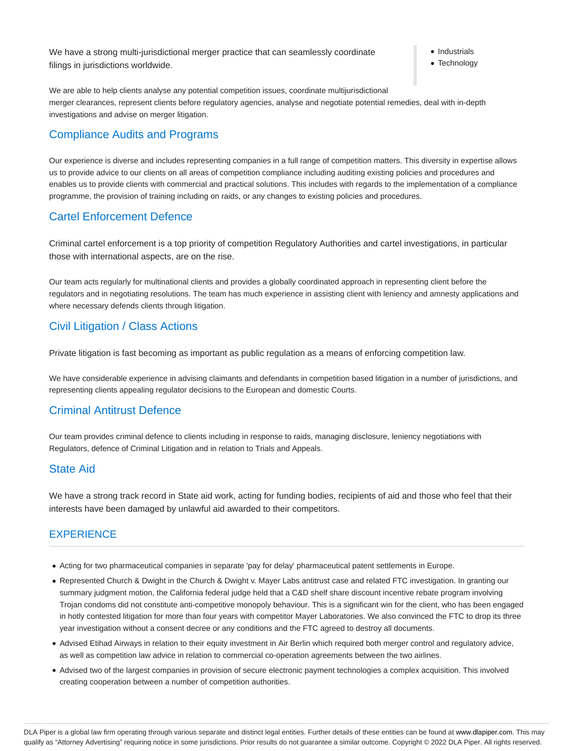We have a strong multi-jurisdictional merger practice that can seamlessly coordinate filings in jurisdictions worldwide.

**Industrials** 

• Technology

We are able to help clients analyse any potential competition issues, coordinate multijurisdictional merger clearances, represent clients before regulatory agencies, analyse and negotiate potential remedies, deal with in-depth investigations and advise on merger litigation.

# Compliance Audits and Programs

Our experience is diverse and includes representing companies in a full range of competition matters. This diversity in expertise allows us to provide advice to our clients on all areas of competition compliance including auditing existing policies and procedures and enables us to provide clients with commercial and practical solutions. This includes with regards to the implementation of a compliance programme, the provision of training including on raids, or any changes to existing policies and procedures.

# Cartel Enforcement Defence

Criminal cartel enforcement is a top priority of competition Regulatory Authorities and cartel investigations, in particular those with international aspects, are on the rise.

Our team acts regularly for multinational clients and provides a globally coordinated approach in representing client before the regulators and in negotiating resolutions. The team has much experience in assisting client with leniency and amnesty applications and where necessary defends clients through litigation.

# Civil Litigation / Class Actions

Private litigation is fast becoming as important as public regulation as a means of enforcing competition law.

We have considerable experience in advising claimants and defendants in competition based litigation in a number of jurisdictions, and representing clients appealing regulator decisions to the European and domestic Courts.

# Criminal Antitrust Defence

Our team provides criminal defence to clients including in response to raids, managing disclosure, leniency negotiations with Regulators, defence of Criminal Litigation and in relation to Trials and Appeals.

# State Aid

We have a strong track record in State aid work, acting for funding bodies, recipients of aid and those who feel that their interests have been damaged by unlawful aid awarded to their competitors.

# **EXPERIENCE**

- Acting for two pharmaceutical companies in separate 'pay for delay' pharmaceutical patent settlements in Europe.
- Represented Church & Dwight in the Church & Dwight v. Mayer Labs antitrust case and related FTC investigation. In granting our summary judgment motion, the California federal judge held that a C&D shelf share discount incentive rebate program involving Trojan condoms did not constitute anti-competitive monopoly behaviour. This is a significant win for the client, who has been engaged in hotly contested litigation for more than four years with competitor Mayer Laboratories. We also convinced the FTC to drop its three year investigation without a consent decree or any conditions and the FTC agreed to destroy all documents.
- Advised Etihad Airways in relation to their equity investment in Air Berlin which required both merger control and regulatory advice, as well as competition law advice in relation to commercial co-operation agreements between the two airlines.
- Advised two of the largest companies in provision of secure electronic payment technologies a complex acquisition. This involved creating cooperation between a number of competition authorities.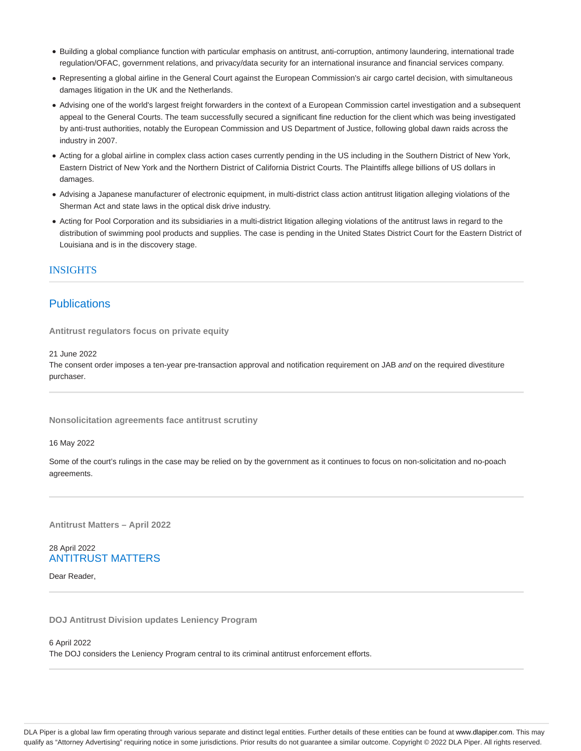- Building a global compliance function with particular emphasis on antitrust, anti-corruption, antimony laundering, international trade regulation/OFAC, government relations, and privacy/data security for an international insurance and financial services company.
- Representing a global airline in the General Court against the European Commission's air cargo cartel decision, with simultaneous damages litigation in the UK and the Netherlands.
- Advising one of the world's largest freight forwarders in the context of a European Commission cartel investigation and a subsequent appeal to the General Courts. The team successfully secured a significant fine reduction for the client which was being investigated by anti-trust authorities, notably the European Commission and US Department of Justice, following global dawn raids across the industry in 2007.
- Acting for a global airline in complex class action cases currently pending in the US including in the Southern District of New York, Eastern District of New York and the Northern District of California District Courts. The Plaintiffs allege billions of US dollars in damages.
- Advising a Japanese manufacturer of electronic equipment, in multi-district class action antitrust litigation alleging violations of the Sherman Act and state laws in the optical disk drive industry.
- Acting for Pool Corporation and its subsidiaries in a multi-district litigation alleging violations of the antitrust laws in regard to the distribution of swimming pool products and supplies. The case is pending in the United States District Court for the Eastern District of Louisiana and is in the discovery stage.

## INSIGHTS

# **Publications**

**Antitrust regulators focus on private equity**

21 June 2022

The consent order imposes a ten-year pre-transaction approval and notification requirement on JAB and on the required divestiture purchaser.

**Nonsolicitation agreements face antitrust scrutiny**

16 May 2022

Some of the court's rulings in the case may be relied on by the government as it continues to focus on non-solicitation and no-poach agreements.

**Antitrust Matters – April 2022**

### 28 April 2022 ANTITRUST MATTERS

Dear Reader,

**DOJ Antitrust Division updates Leniency Program**

6 April 2022

The DOJ considers the Leniency Program central to its criminal antitrust enforcement efforts.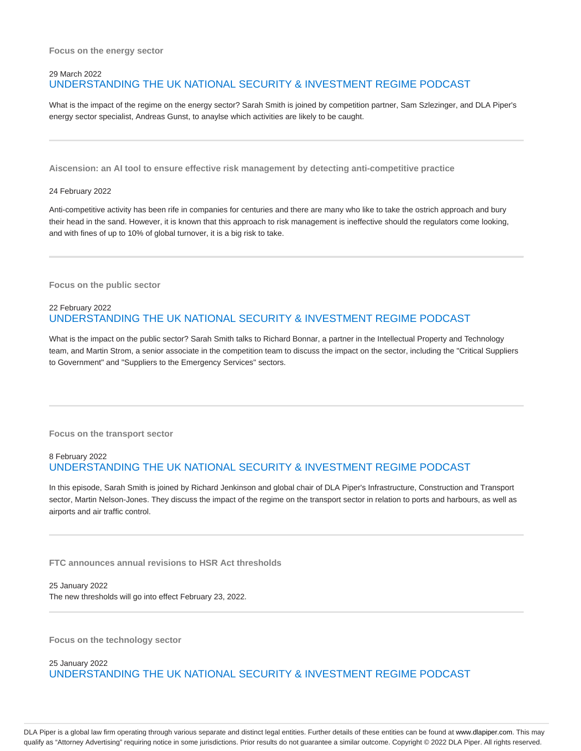# 29 March 2022 UNDERSTANDING THE UK NATIONAL SECURITY & INVESTMENT REGIME PODCAST

What is the impact of the regime on the energy sector? Sarah Smith is joined by competition partner, Sam Szlezinger, and DLA Piper's energy sector specialist, Andreas Gunst, to anaylse which activities are likely to be caught.

**Aiscension: an AI tool to ensure effective risk management by detecting anti-competitive practice**

#### 24 February 2022

Anti-competitive activity has been rife in companies for centuries and there are many who like to take the ostrich approach and bury their head in the sand. However, it is known that this approach to risk management is ineffective should the regulators come looking, and with fines of up to 10% of global turnover, it is a big risk to take.

**Focus on the public sector**

## 22 February 2022 UNDERSTANDING THE UK NATIONAL SECURITY & INVESTMENT REGIME PODCAST

What is the impact on the public sector? Sarah Smith talks to Richard Bonnar, a partner in the Intellectual Property and Technology team, and Martin Strom, a senior associate in the competition team to discuss the impact on the sector, including the "Critical Suppliers to Government" and "Suppliers to the Emergency Services" sectors.

**Focus on the transport sector**

# 8 February 2022 UNDERSTANDING THE UK NATIONAL SECURITY & INVESTMENT REGIME PODCAST

In this episode, Sarah Smith is joined by Richard Jenkinson and global chair of DLA Piper's Infrastructure, Construction and Transport sector, Martin Nelson-Jones. They discuss the impact of the regime on the transport sector in relation to ports and harbours, as well as airports and air traffic control.

**FTC announces annual revisions to HSR Act thresholds**

25 January 2022 The new thresholds will go into effect February 23, 2022.

**Focus on the technology sector**

25 January 2022 UNDERSTANDING THE UK NATIONAL SECURITY & INVESTMENT REGIME PODCAST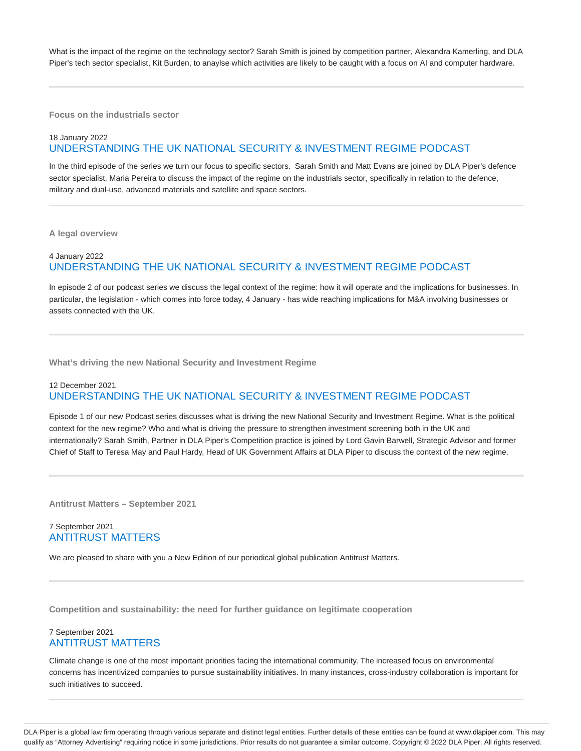What is the impact of the regime on the technology sector? Sarah Smith is joined by competition partner, Alexandra Kamerling, and DLA Piper's tech sector specialist, Kit Burden, to anaylse which activities are likely to be caught with a focus on AI and computer hardware.

**Focus on the industrials sector**

# 18 January 2022 UNDERSTANDING THE UK NATIONAL SECURITY & INVESTMENT REGIME PODCAST

In the third episode of the series we turn our focus to specific sectors. Sarah Smith and Matt Evans are joined by DLA Piper's defence sector specialist, Maria Pereira to discuss the impact of the regime on the industrials sector, specifically in relation to the defence, military and dual-use, advanced materials and satellite and space sectors.

**A legal overview**

# 4 January 2022 UNDERSTANDING THE UK NATIONAL SECURITY & INVESTMENT REGIME PODCAST

In episode 2 of our podcast series we discuss the legal context of the regime: how it will operate and the implications for businesses. In particular, the legislation - which comes into force today, 4 January - has wide reaching implications for M&A involving businesses or assets connected with the UK.

**What's driving the new National Security and Investment Regime**

### 12 December 2021 UNDERSTANDING THE UK NATIONAL SECURITY & INVESTMENT REGIME PODCAST

Episode 1 of our new Podcast series discusses what is driving the new National Security and Investment Regime. What is the political context for the new regime? Who and what is driving the pressure to strengthen investment screening both in the UK and internationally? Sarah Smith, Partner in DLA Piper's Competition practice is joined by Lord Gavin Barwell, Strategic Advisor and former Chief of Staff to Teresa May and Paul Hardy, Head of UK Government Affairs at DLA Piper to discuss the context of the new regime.

**Antitrust Matters – September 2021**

## 7 September 2021 ANTITRUST MATTERS

We are pleased to share with you a New Edition of our periodical global publication Antitrust Matters.

**Competition and sustainability: the need for further guidance on legitimate cooperation**

#### 7 September 2021 ANTITRUST MATTERS

Climate change is one of the most important priorities facing the international community. The increased focus on environmental concerns has incentivized companies to pursue sustainability initiatives. In many instances, cross-industry collaboration is important for such initiatives to succeed.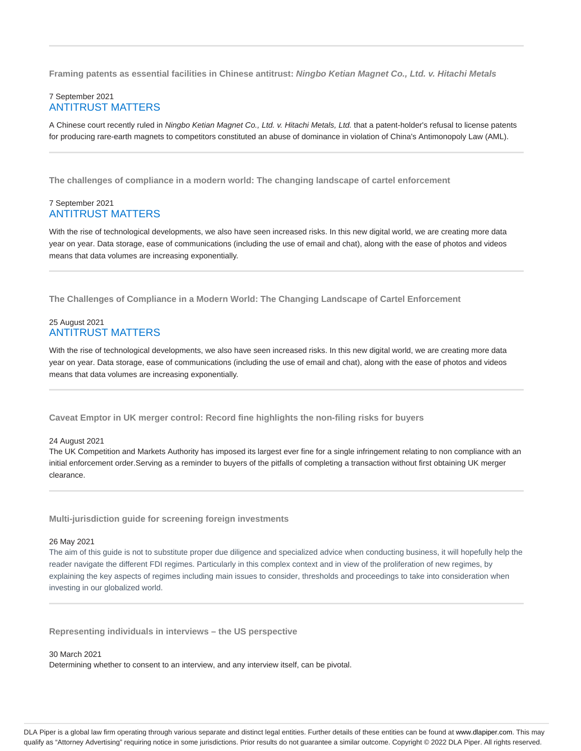**Framing patents as essential facilities in Chinese antitrust: Ningbo Ketian Magnet Co., Ltd. v. Hitachi Metals**

## 7 September 2021 ANTITRUST MATTERS

A Chinese court recently ruled in Ningbo Ketian Magnet Co., Ltd. v. Hitachi Metals, Ltd. that a patent-holder's refusal to license patents for producing rare-earth magnets to competitors constituted an abuse of dominance in violation of China's Antimonopoly Law (AML).

**The challenges of compliance in a modern world: The changing landscape of cartel enforcement**

### 7 September 2021 ANTITRUST MATTERS

With the rise of technological developments, we also have seen increased risks. In this new digital world, we are creating more data year on year. Data storage, ease of communications (including the use of email and chat), along with the ease of photos and videos means that data volumes are increasing exponentially.

**The Challenges of Compliance in a Modern World: The Changing Landscape of Cartel Enforcement**

## 25 August 2021 ANTITRUST MATTERS

With the rise of technological developments, we also have seen increased risks. In this new digital world, we are creating more data year on year. Data storage, ease of communications (including the use of email and chat), along with the ease of photos and videos means that data volumes are increasing exponentially.

**Caveat Emptor in UK merger control: Record fine highlights the non-filing risks for buyers**

24 August 2021

The UK Competition and Markets Authority has imposed its largest ever fine for a single infringement relating to non compliance with an initial enforcement order.Serving as a reminder to buyers of the pitfalls of completing a transaction without first obtaining UK merger clearance.

**Multi-jurisdiction guide for screening foreign investments**

#### 26 May 2021

The aim of this guide is not to substitute proper due diligence and specialized advice when conducting business, it will hopefully help the reader navigate the different FDI regimes. Particularly in this complex context and in view of the proliferation of new regimes, by explaining the key aspects of regimes including main issues to consider, thresholds and proceedings to take into consideration when investing in our globalized world.

**Representing individuals in interviews – the US perspective**

30 March 2021 Determining whether to consent to an interview, and any interview itself, can be pivotal.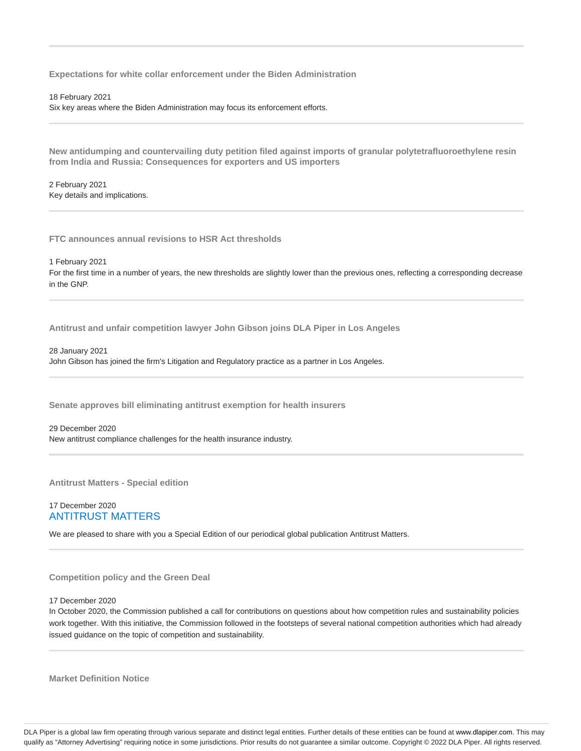**Expectations for white collar enforcement under the Biden Administration**

18 February 2021

Six key areas where the Biden Administration may focus its enforcement efforts.

**New antidumping and countervailing duty petition filed against imports of granular polytetrafluoroethylene resin from India and Russia: Consequences for exporters and US importers**

2 February 2021 Key details and implications.

**FTC announces annual revisions to HSR Act thresholds**

1 February 2021

For the first time in a number of years, the new thresholds are slightly lower than the previous ones, reflecting a corresponding decrease in the GNP.

**Antitrust and unfair competition lawyer John Gibson joins DLA Piper in Los Angeles**

28 January 2021

John Gibson has joined the firm's Litigation and Regulatory practice as a partner in Los Angeles.

**Senate approves bill eliminating antitrust exemption for health insurers**

29 December 2020 New antitrust compliance challenges for the health insurance industry.

**Antitrust Matters - Special edition**

#### 17 December 2020 ANTITRUST MATTERS

We are pleased to share with you a Special Edition of our periodical global publication Antitrust Matters.

**Competition policy and the Green Deal**

17 December 2020

In October 2020, the Commission published a call for contributions on questions about how competition rules and sustainability policies work together. With this initiative, the Commission followed in the footsteps of several national competition authorities which had already issued guidance on the topic of competition and sustainability.

**Market Definition Notice**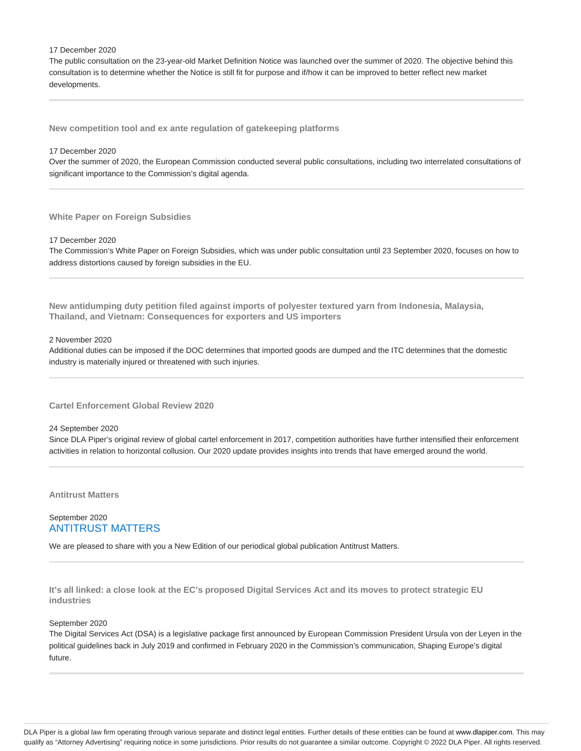#### 17 December 2020

The public consultation on the 23-year-old Market Definition Notice was launched over the summer of 2020. The objective behind this consultation is to determine whether the Notice is still fit for purpose and if/how it can be improved to better reflect new market developments.

**New competition tool and ex ante regulation of gatekeeping platforms**

#### 17 December 2020

Over the summer of 2020, the European Commission conducted several public consultations, including two interrelated consultations of significant importance to the Commission's digital agenda.

**White Paper on Foreign Subsidies**

17 December 2020

The Commission's White Paper on Foreign Subsidies, which was under public consultation until 23 September 2020, focuses on how to address distortions caused by foreign subsidies in the EU.

**New antidumping duty petition filed against imports of polyester textured yarn from Indonesia, Malaysia, Thailand, and Vietnam: Consequences for exporters and US importers**

#### 2 November 2020

Additional duties can be imposed if the DOC determines that imported goods are dumped and the ITC determines that the domestic industry is materially injured or threatened with such injuries.

**Cartel Enforcement Global Review 2020**

#### 24 September 2020

Since DLA Piper's original review of global cartel enforcement in 2017, competition authorities have further intensified their enforcement activities in relation to horizontal collusion. Our 2020 update provides insights into trends that have emerged around the world.

**Antitrust Matters**

### September 2020 ANTITRUST MATTERS

We are pleased to share with you a New Edition of our periodical global publication Antitrust Matters.

**It's all linked: a close look at the EC's proposed Digital Services Act and its moves to protect strategic EU industries**

#### September 2020

The Digital Services Act (DSA) is a legislative package first announced by European Commission President Ursula von der Leyen in the political guidelines back in July 2019 and confirmed in February 2020 in the Commission's communication, Shaping Europe's digital future.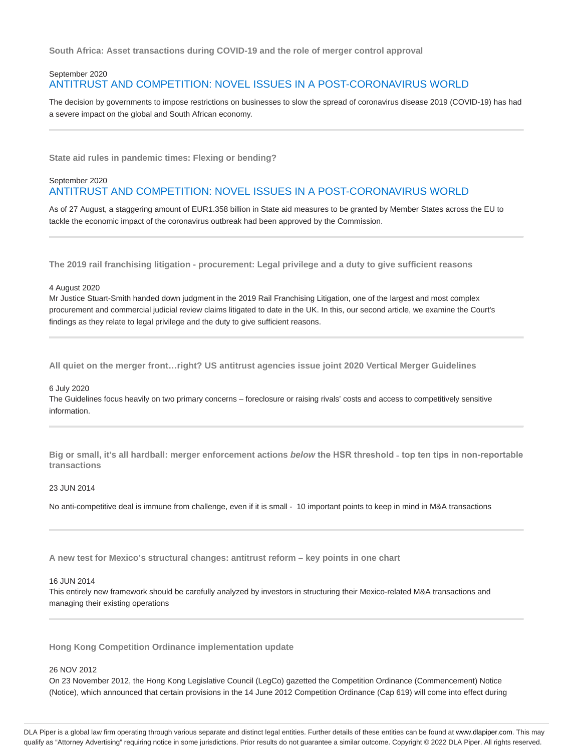**South Africa: Asset transactions during COVID-19 and the role of merger control approval**

# September 2020 ANTITRUST AND COMPETITION: NOVEL ISSUES IN A POST-CORONAVIRUS WORLD

The decision by governments to impose restrictions on businesses to slow the spread of coronavirus disease 2019 (COVID-19) has had a severe impact on the global and South African economy.

**State aid rules in pandemic times: Flexing or bending?**

#### September 2020 ANTITRUST AND COMPETITION: NOVEL ISSUES IN A POST-CORONAVIRUS WORLD

As of 27 August, a staggering amount of EUR1.358 billion in State aid measures to be granted by Member States across the EU to tackle the economic impact of the coronavirus outbreak had been approved by the Commission.

**The 2019 rail franchising litigation - procurement: Legal privilege and a duty to give sufficient reasons**

#### 4 August 2020

Mr Justice Stuart-Smith handed down judgment in the 2019 Rail Franchising Litigation, one of the largest and most complex procurement and commercial judicial review claims litigated to date in the UK. In this, our second article, we examine the Court's findings as they relate to legal privilege and the duty to give sufficient reasons.

**All quiet on the merger front…right? US antitrust agencies issue joint 2020 Vertical Merger Guidelines**

#### 6 July 2020

The Guidelines focus heavily on two primary concerns – foreclosure or raising rivals' costs and access to competitively sensitive information.

**Big or small, it's all hardball: merger enforcement actions below the HSR threshold ˗ top ten tips in non-reportable transactions**

#### 23 JUN 2014

No anti-competitive deal is immune from challenge, even if it is small - 10 important points to keep in mind in M&A transactions

**A new test for Mexico's structural changes: antitrust reform – key points in one chart**

#### 16 JUN 2014

This entirely new framework should be carefully analyzed by investors in structuring their Mexico-related M&A transactions and managing their existing operations

**Hong Kong Competition Ordinance implementation update**

#### 26 NOV 2012

On 23 November 2012, the Hong Kong Legislative Council (LegCo) gazetted the Competition Ordinance (Commencement) Notice (Notice), which announced that certain provisions in the 14 June 2012 Competition Ordinance (Cap 619) will come into effect during